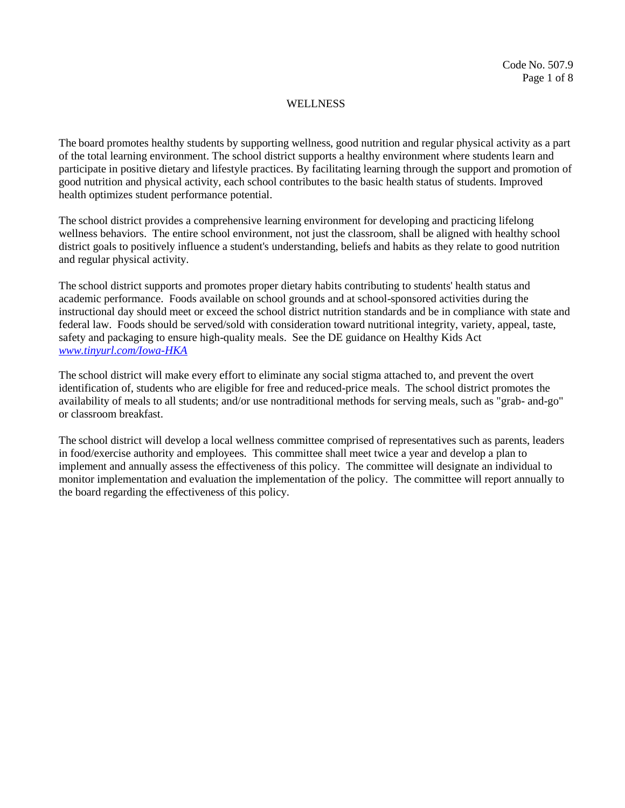The board promotes healthy students by supporting wellness, good nutrition and regular physical activity as a part of the total learning environment. The school district supports a healthy environment where students learn and participate in positive dietary and lifestyle practices. By facilitating learning through the support and promotion of good nutrition and physical activity, each school contributes to the basic health status of students. Improved health optimizes student performance potential.

The school district provides a comprehensive learning environment for developing and practicing lifelong wellness behaviors. The entire school environment, not just the classroom, shall be aligned with healthy school district goals to positively influence a student's understanding, beliefs and habits as they relate to good nutrition and regular physical activity.

The school district supports and promotes proper dietary habits contributing to students' health status and academic performance. Foods available on school grounds and at school-sponsored activities during the instructional day should meet or exceed the school district nutrition standards and be in compliance with state and federal law. Foods should be served/sold with consideration toward nutritional integrity, variety, appeal, taste, safety and packaging to ensure high-quality meals. See the DE guidance on Healthy Kids Act *[www.tinyurl.com/Iowa-HKA](http://www.tinyurl.com/Iowa-HKA)*

The school district will make every effort to eliminate any social stigma attached to, and prevent the overt identification of, students who are eligible for free and reduced-price meals. The school district promotes the availability of meals to all students; and/or use nontraditional methods for serving meals, such as "grab- and-go" or classroom breakfast.

The school district will develop a local wellness committee comprised of representatives such as parents, leaders in food/exercise authority and employees. This committee shall meet twice a year and develop a plan to implement and annually assess the effectiveness of this policy. The committee will designate an individual to monitor implementation and evaluation the implementation of the policy. The committee will report annually to the board regarding the effectiveness of this policy.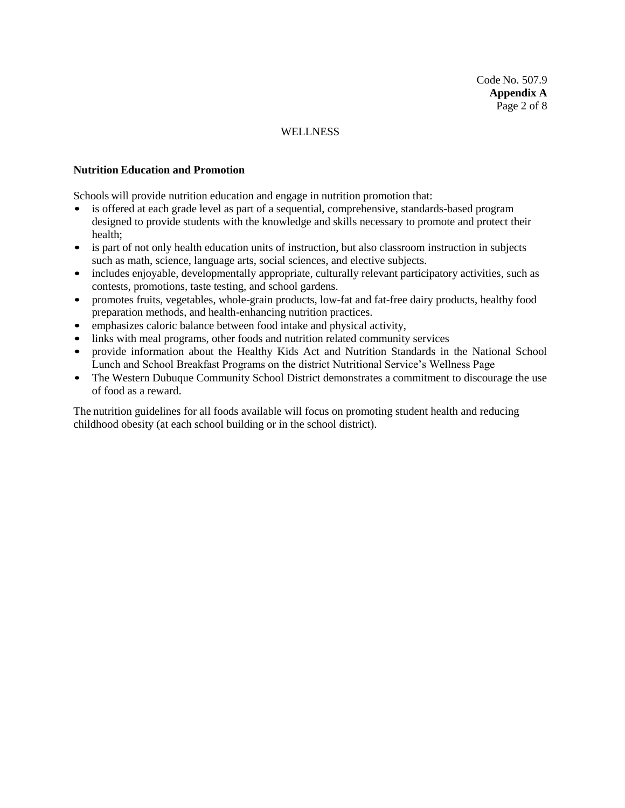#### **Nutrition Education and Promotion**

Schools will provide nutrition education and engage in nutrition promotion that:

- is offered at each grade level as part of a sequential, comprehensive, standards-based program designed to provide students with the knowledge and skills necessary to promote and protect their health;
- is part of not only health education units of instruction, but also classroom instruction in subjects such as math, science, language arts, social sciences, and elective subjects.
- includes enjoyable, developmentally appropriate, culturally relevant participatory activities, such as contests, promotions, taste testing, and school gardens.
- promotes fruits, vegetables, whole-grain products, low-fat and fat-free dairy products, healthy food preparation methods, and health-enhancing nutrition practices.
- emphasizes caloric balance between food intake and physical activity,
- links with meal programs, other foods and nutrition related community services<br>• provide information about the Healthy Kids Act and Nutrition Standards in
- provide information about the Healthy Kids Act and Nutrition Standards in the National School Lunch and School Breakfast Programs on the district Nutritional Service's Wellness Page
- The Western Dubuque Community School District demonstrates a commitment to discourage the use of food as a reward.

The nutrition guidelines for all foods available will focus on promoting student health and reducing childhood obesity (at each school building or in the school district).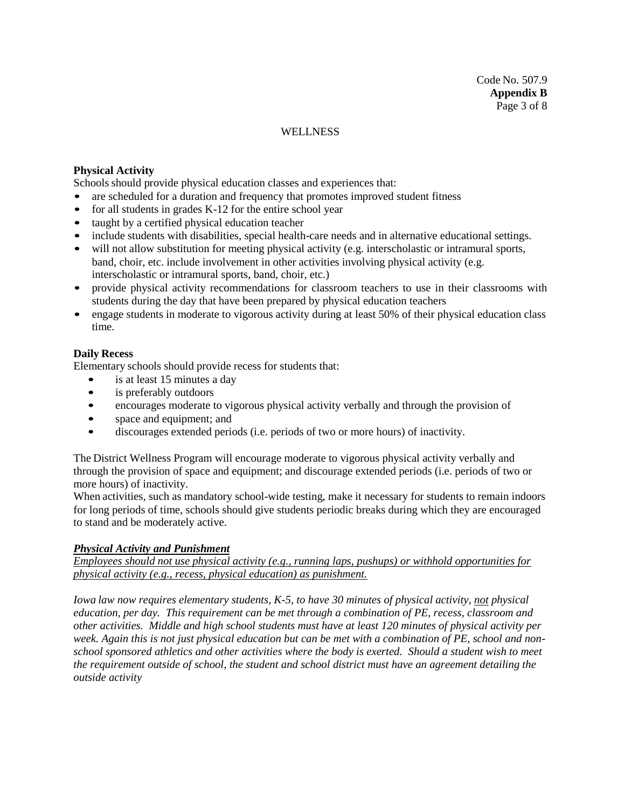## **Physical Activity**

Schools should provide physical education classes and experiences that:

- are scheduled for a duration and frequency that promotes improved student fitness
- for all students in grades  $K-12$  for the entire school year
- taught by a certified physical education teacher
- include students with disabilities, special health-care needs and in alternative educational settings.
- will not allow substitution for meeting physical activity (e.g. interscholastic or intramural sports, band, choir, etc. include involvement in other activities involving physical activity (e.g. interscholastic or intramural sports, band, choir, etc.)
- provide physical activity recommendations for classroom teachers to use in their classrooms with students during the day that have been prepared by physical education teachers
- engage students in moderate to vigorous activity during at least 50% of their physical education class time.

## **Daily Recess**

Elementary schools should provide recess for students that:

- is at least 15 minutes a day
- is preferably outdoors
- encourages moderate to vigorous physical activity verbally and through the provision of
- space and equipment; and
- discourages extended periods (i.e. periods of two or more hours) of inactivity.

The District Wellness Program will encourage moderate to vigorous physical activity verbally and through the provision of space and equipment; and discourage extended periods (i.e. periods of two or more hours) of inactivity.

When activities, such as mandatory school-wide testing, make it necessary for students to remain indoors for long periods of time, schools should give students periodic breaks during which they are encouraged to stand and be moderately active.

#### *Physical Activity and Punishment*

*Employees should not use physical activity (e.g., running laps, pushups) or withhold opportunities for physical activity (e.g., recess, physical education) as punishment.*

*Iowa law now requires elementary students, K-5, to have 30 minutes of physical activity, not physical education, per day. This requirement can be met through a combination of PE, recess, classroom and other activities. Middle and high school students must have at least 120 minutes of physical activity per week. Again this is not just physical education but can be met with a combination of PE, school and nonschool sponsored athletics and other activities where the body is exerted. Should a student wish to meet the requirement outside of school, the student and school district must have an agreement detailing the outside activity*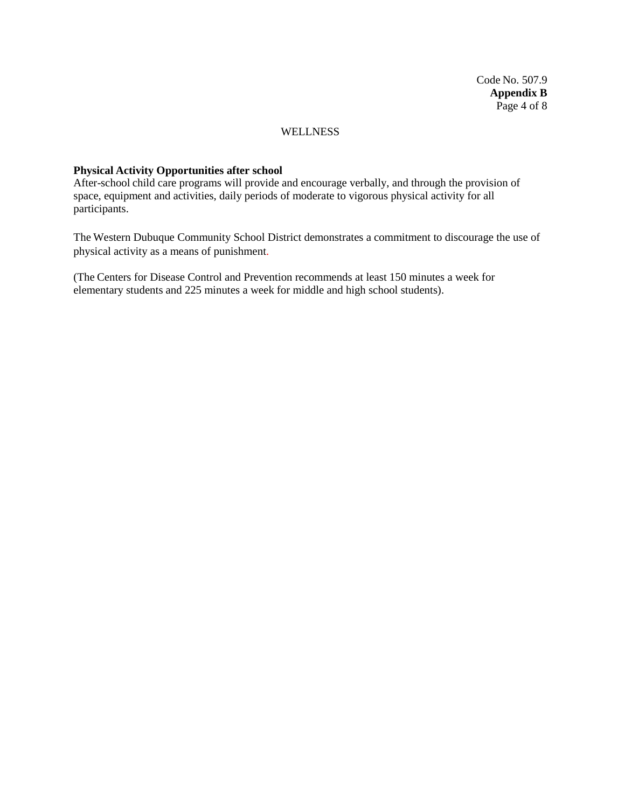Code No. 507.9 **Appendix B** Page 4 of 8

## **WELLNESS**

### **Physical Activity Opportunities after school**

After-school child care programs will provide and encourage verbally, and through the provision of space, equipment and activities, daily periods of moderate to vigorous physical activity for all participants.

The Western Dubuque Community School District demonstrates a commitment to discourage the use of physical activity as a means of punishment.

(The Centers for Disease Control and Prevention recommends at least 150 minutes a week for elementary students and 225 minutes a week for middle and high school students).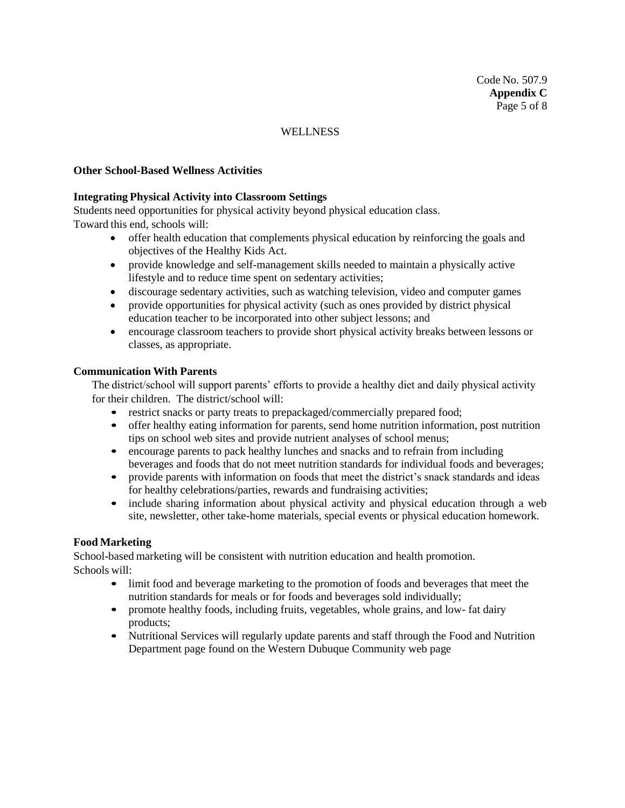### **Other School-Based Wellness Activities**

### **Integrating Physical Activity into Classroom Settings**

Students need opportunities for physical activity beyond physical education class. Toward this end, schools will:

- offer health education that complements physical education by reinforcing the goals and objectives of the Healthy Kids Act.
- provide knowledge and self-management skills needed to maintain a physically active lifestyle and to reduce time spent on sedentary activities;
- discourage sedentary activities, such as watching television, video and computer games
- provide opportunities for physical activity (such as ones provided by district physical education teacher to be incorporated into other subject lessons; and
- encourage classroom teachers to provide short physical activity breaks between lessons or classes, as appropriate.

### **Communication With Parents**

The district/school will support parents' efforts to provide a healthy diet and daily physical activity for their children. The district/school will:

- restrict snacks or party treats to prepackaged/commercially prepared food;
- offer healthy eating information for parents, send home nutrition information, post nutrition tips on school web sites and provide nutrient analyses of school menus;
- encourage parents to pack healthy lunches and snacks and to refrain from including beverages and foods that do not meet nutrition standards for individual foods and beverages;
- provide parents with information on foods that meet the district's snack standards and ideas for healthy celebrations/parties, rewards and fundraising activities;
- include sharing information about physical activity and physical education through a web site, newsletter, other take-home materials, special events or physical education homework.

## **Food Marketing**

School-based marketing will be consistent with nutrition education and health promotion. Schools will:

- limit food and beverage marketing to the promotion of foods and beverages that meet the nutrition standards for meals or for foods and beverages sold individually;
- promote healthy foods, including fruits, vegetables, whole grains, and low- fat dairy products;
- Nutritional Services will regularly update parents and staff through the Food and Nutrition Department page found on the Western Dubuque Community web page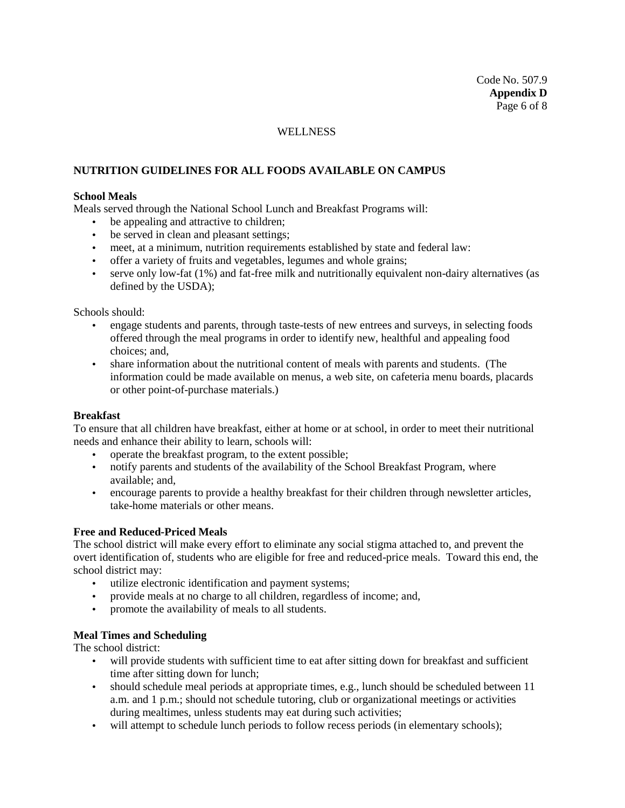# **NUTRITION GUIDELINES FOR ALL FOODS AVAILABLE ON CAMPUS**

### **School Meals**

Meals served through the National School Lunch and Breakfast Programs will:

- be appealing and attractive to children;
- be served in clean and pleasant settings;
- meet, at a minimum, nutrition requirements established by state and federal law:
- offer a variety of fruits and vegetables, legumes and whole grains;
- serve only low-fat (1%) and fat-free milk and nutritionally equivalent non-dairy alternatives (as defined by the USDA);

#### Schools should:

- engage students and parents, through taste-tests of new entrees and surveys, in selecting foods offered through the meal programs in order to identify new, healthful and appealing food choices; and,
- share information about the nutritional content of meals with parents and students. (The information could be made available on menus, a web site, on cafeteria menu boards, placards or other point-of-purchase materials.)

### **Breakfast**

To ensure that all children have breakfast, either at home or at school, in order to meet their nutritional needs and enhance their ability to learn, schools will:

- operate the breakfast program, to the extent possible;
- notify parents and students of the availability of the School Breakfast Program, where available; and,
- encourage parents to provide a healthy breakfast for their children through newsletter articles, take-home materials or other means.

#### **Free and Reduced-Priced Meals**

The school district will make every effort to eliminate any social stigma attached to, and prevent the overt identification of, students who are eligible for free and reduced-price meals. Toward this end, the school district may:

- utilize electronic identification and payment systems;
- provide meals at no charge to all children, regardless of income; and,
- promote the availability of meals to all students.

### **Meal Times and Scheduling**

The school district:

- will provide students with sufficient time to eat after sitting down for breakfast and sufficient time after sitting down for lunch;
- should schedule meal periods at appropriate times, e.g., lunch should be scheduled between 11 a.m. and 1 p.m.; should not schedule tutoring, club or organizational meetings or activities during mealtimes, unless students may eat during such activities;
- will attempt to schedule lunch periods to follow recess periods (in elementary schools);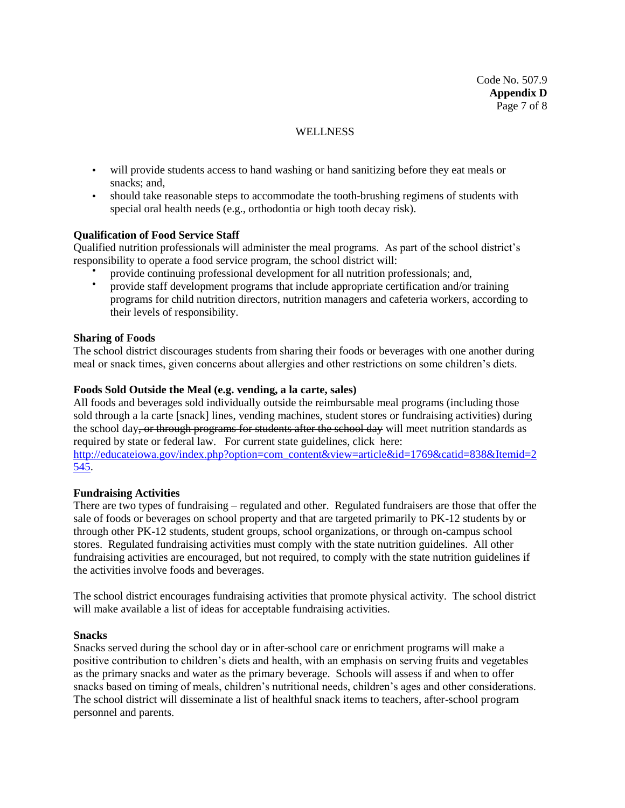- will provide students access to hand washing or hand sanitizing before they eat meals or snacks; and,
- should take reasonable steps to accommodate the tooth-brushing regimens of students with special oral health needs (e.g., orthodontia or high tooth decay risk).

### **Qualification of Food Service Staff**

Qualified nutrition professionals will administer the meal programs. As part of the school district's responsibility to operate a food service program, the school district will:

- provide continuing professional development for all nutrition professionals; and,
- provide staff development programs that include appropriate certification and/or training programs for child nutrition directors, nutrition managers and cafeteria workers, according to their levels of responsibility.

### **Sharing of Foods**

The school district discourages students from sharing their foods or beverages with one another during meal or snack times, given concerns about allergies and other restrictions on some children's diets.

### **Foods Sold Outside the Meal (e.g. vending, a la carte, sales)**

All foods and beverages sold individually outside the reimbursable meal programs (including those sold through a la carte [snack] lines, vending machines, student stores or fundraising activities) during the school day, or through programs for students after the school day will meet nutrition standards as required by state or federal law. For current state guidelines, click here: [http://educateiowa.gov/index.php?option=com\\_content&view=article&id=1769&catid=838&Itemid=2](http://educateiowa.gov/index.php?option=com_content&view=article&id=1769&catid=838&Itemid=2545) [545.](http://educateiowa.gov/index.php?option=com_content&view=article&id=1769&catid=838&Itemid=2545)

#### **Fundraising Activities**

There are two types of fundraising – regulated and other. Regulated fundraisers are those that offer the sale of foods or beverages on school property and that are targeted primarily to PK-12 students by or through other PK-12 students, student groups, school organizations, or through on-campus school stores. Regulated fundraising activities must comply with the state nutrition guidelines. All other fundraising activities are encouraged, but not required, to comply with the state nutrition guidelines if the activities involve foods and beverages.

The school district encourages fundraising activities that promote physical activity. The school district will make available a list of ideas for acceptable fundraising activities.

#### **Snacks**

Snacks served during the school day or in after-school care or enrichment programs will make a positive contribution to children's diets and health, with an emphasis on serving fruits and vegetables as the primary snacks and water as the primary beverage. Schools will assess if and when to offer snacks based on timing of meals, children's nutritional needs, children's ages and other considerations. The school district will disseminate a list of healthful snack items to teachers, after-school program personnel and parents.